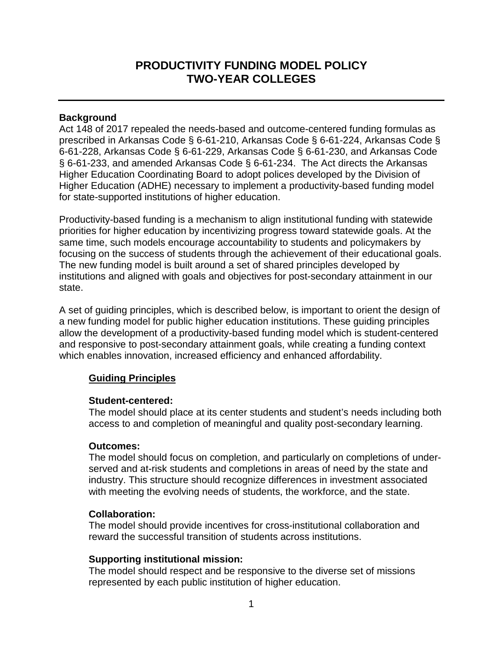# **PRODUCTIVITY FUNDING MODEL POLICY TWO-YEAR COLLEGES**

### **Background**

Act 148 of 2017 repealed the needs-based and outcome-centered funding formulas as prescribed in Arkansas Code § 6-61-210, Arkansas Code § 6-61-224, Arkansas Code § 6-61-228, Arkansas Code § 6-61-229, Arkansas Code § 6-61-230, and Arkansas Code § 6-61-233, and amended Arkansas Code § 6-61-234. The Act directs the Arkansas Higher Education Coordinating Board to adopt polices developed by the Division of Higher Education (ADHE) necessary to implement a productivity-based funding model for state-supported institutions of higher education.

Productivity-based funding is a mechanism to align institutional funding with statewide priorities for higher education by incentivizing progress toward statewide goals. At the same time, such models encourage accountability to students and policymakers by focusing on the success of students through the achievement of their educational goals. The new funding model is built around a set of shared principles developed by institutions and aligned with goals and objectives for post-secondary attainment in our state.

A set of guiding principles, which is described below, is important to orient the design of a new funding model for public higher education institutions. These guiding principles allow the development of a productivity-based funding model which is student-centered and responsive to post-secondary attainment goals, while creating a funding context which enables innovation, increased efficiency and enhanced affordability.

## **Guiding Principles**

#### **Student-centered:**

The model should place at its center students and student's needs including both access to and completion of meaningful and quality post-secondary learning.

#### **Outcomes:**

The model should focus on completion, and particularly on completions of underserved and at-risk students and completions in areas of need by the state and industry. This structure should recognize differences in investment associated with meeting the evolving needs of students, the workforce, and the state.

#### **Collaboration:**

The model should provide incentives for cross-institutional collaboration and reward the successful transition of students across institutions.

## **Supporting institutional mission:**

The model should respect and be responsive to the diverse set of missions represented by each public institution of higher education.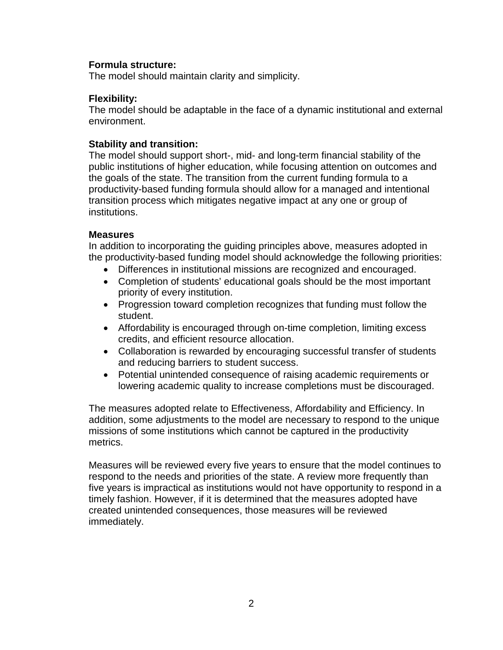### **Formula structure:**

The model should maintain clarity and simplicity.

### **Flexibility:**

The model should be adaptable in the face of a dynamic institutional and external environment.

### **Stability and transition:**

The model should support short-, mid- and long-term financial stability of the public institutions of higher education, while focusing attention on outcomes and the goals of the state. The transition from the current funding formula to a productivity-based funding formula should allow for a managed and intentional transition process which mitigates negative impact at any one or group of institutions.

#### **Measures**

In addition to incorporating the guiding principles above, measures adopted in the productivity-based funding model should acknowledge the following priorities:

- Differences in institutional missions are recognized and encouraged.
- Completion of students' educational goals should be the most important priority of every institution.
- Progression toward completion recognizes that funding must follow the student.
- Affordability is encouraged through on-time completion, limiting excess credits, and efficient resource allocation.
- Collaboration is rewarded by encouraging successful transfer of students and reducing barriers to student success.
- Potential unintended consequence of raising academic requirements or lowering academic quality to increase completions must be discouraged.

The measures adopted relate to Effectiveness, Affordability and Efficiency. In addition, some adjustments to the model are necessary to respond to the unique missions of some institutions which cannot be captured in the productivity metrics.

Measures will be reviewed every five years to ensure that the model continues to respond to the needs and priorities of the state. A review more frequently than five years is impractical as institutions would not have opportunity to respond in a timely fashion. However, if it is determined that the measures adopted have created unintended consequences, those measures will be reviewed immediately.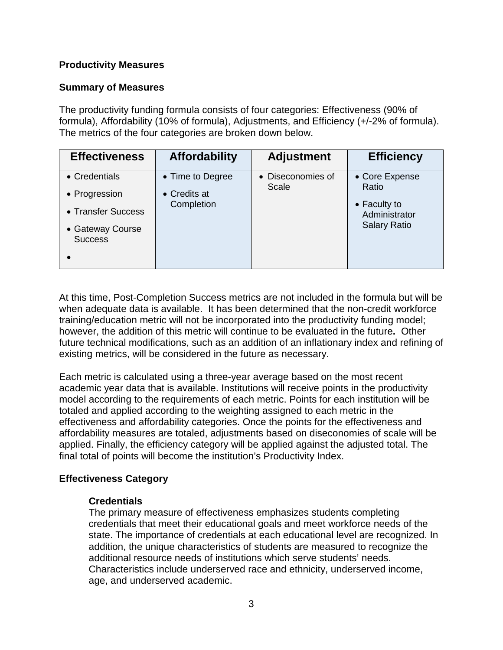# **Productivity Measures**

# **Summary of Measures**

The productivity funding formula consists of four categories: Effectiveness (90% of formula), Affordability (10% of formula), Adjustments, and Efficiency (+/-2% of formula). The metrics of the four categories are broken down below.

| <b>Effectiveness</b>                                                                       | <b>Affordability</b>                                   | <b>Adjustment</b>          | <b>Efficiency</b>                                                               |
|--------------------------------------------------------------------------------------------|--------------------------------------------------------|----------------------------|---------------------------------------------------------------------------------|
| • Credentials<br>• Progression<br>• Transfer Success<br>• Gateway Course<br><b>Success</b> | • Time to Degree<br>$\bullet$ Credits at<br>Completion | • Diseconomies of<br>Scale | • Core Expense<br>Ratio<br>• Faculty to<br>Administrator<br><b>Salary Ratio</b> |

At this time, Post-Completion Success metrics are not included in the formula but will be when adequate data is available. It has been determined that the non-credit workforce training/education metric will not be incorporated into the productivity funding model; however, the addition of this metric will continue to be evaluated in the future**.** Other future technical modifications, such as an addition of an inflationary index and refining of existing metrics, will be considered in the future as necessary.

Each metric is calculated using a three-year average based on the most recent academic year data that is available. Institutions will receive points in the productivity model according to the requirements of each metric. Points for each institution will be totaled and applied according to the weighting assigned to each metric in the effectiveness and affordability categories. Once the points for the effectiveness and affordability measures are totaled, adjustments based on diseconomies of scale will be applied. Finally, the efficiency category will be applied against the adjusted total. The final total of points will become the institution's Productivity Index.

# **Effectiveness Category**

## **Credentials**

The primary measure of effectiveness emphasizes students completing credentials that meet their educational goals and meet workforce needs of the state. The importance of credentials at each educational level are recognized. In addition, the unique characteristics of students are measured to recognize the additional resource needs of institutions which serve students' needs. Characteristics include underserved race and ethnicity, underserved income, age, and underserved academic.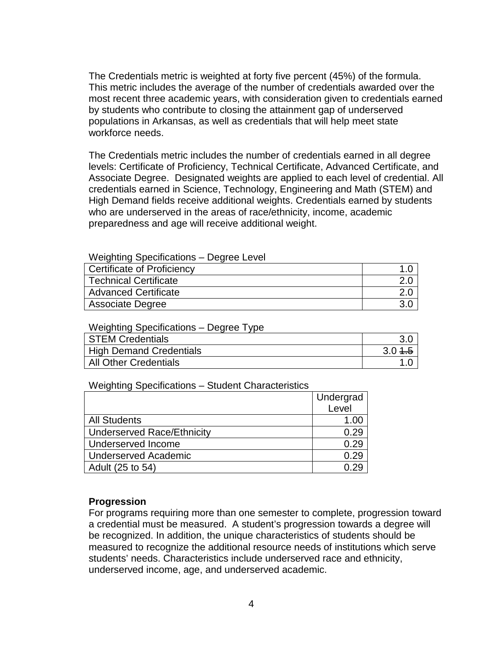The Credentials metric is weighted at forty five percent (45%) of the formula. This metric includes the average of the number of credentials awarded over the most recent three academic years, with consideration given to credentials earned by students who contribute to closing the attainment gap of underserved populations in Arkansas, as well as credentials that will help meet state workforce needs.

The Credentials metric includes the number of credentials earned in all degree levels: Certificate of Proficiency, Technical Certificate, Advanced Certificate, and Associate Degree. Designated weights are applied to each level of credential. All credentials earned in Science, Technology, Engineering and Math (STEM) and High Demand fields receive additional weights. Credentials earned by students who are underserved in the areas of race/ethnicity, income, academic preparedness and age will receive additional weight.

| Certificate of Proficiency   |  |
|------------------------------|--|
| <b>Technical Certificate</b> |  |
| <b>Advanced Certificate</b>  |  |
| <b>Associate Degree</b>      |  |

Weighting Specifications – Degree Type

| <b>STEM Credentials</b>        |           |
|--------------------------------|-----------|
| <b>High Demand Credentials</b> | $3.0 + 5$ |
| All Other Credentials          |           |

Weighting Specifications – Student Characteristics

|                                   | Undergrad |
|-----------------------------------|-----------|
|                                   | Level     |
| <b>All Students</b>               | 1.00      |
| <b>Underserved Race/Ethnicity</b> | 0.29      |
| Underserved Income                | 0.29      |
| <b>Underserved Academic</b>       | 0.29      |
| Adult (25 to 54)                  |           |

#### **Progression**

For programs requiring more than one semester to complete, progression toward a credential must be measured. A student's progression towards a degree will be recognized. In addition, the unique characteristics of students should be measured to recognize the additional resource needs of institutions which serve students' needs. Characteristics include underserved race and ethnicity, underserved income, age, and underserved academic.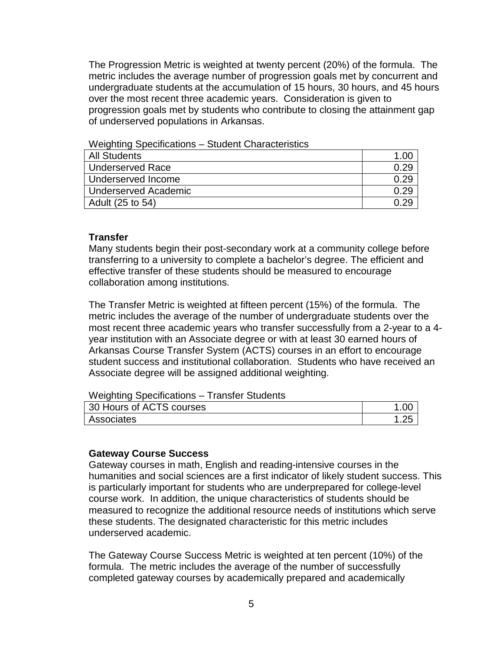The Progression Metric is weighted at twenty percent (20%) of the formula. The metric includes the average number of progression goals met by concurrent and undergraduate students at the accumulation of 15 hours, 30 hours, and 45 hours over the most recent three academic years. Consideration is given to progression goals met by students who contribute to closing the attainment gap of underserved populations in Arkansas.

#### Weighting Specifications – Student Characteristics

| All Students         |  |
|----------------------|--|
| Underserved Race     |  |
| Underserved Income   |  |
| Underserved Academic |  |
| Adult (25 to 54)     |  |

### **Transfer**

Many students begin their post-secondary work at a community college before transferring to a university to complete a bachelor's degree. The efficient and effective transfer of these students should be measured to encourage collaboration among institutions.

The Transfer Metric is weighted at fifteen percent (15%) of the formula. The metric includes the average of the number of undergraduate students over the most recent three academic years who transfer successfully from a 2-year to a 4 year institution with an Associate degree or with at least 30 earned hours of Arkansas Course Transfer System (ACTS) courses in an effort to encourage student success and institutional collaboration. Students who have received an Associate degree will be assigned additional weighting.

#### Weighting Specifications – Transfer Students

| 30 Hours of ACTS courses |  |
|--------------------------|--|
| Associates               |  |

#### **Gateway Course Success**

Gateway courses in math, English and reading-intensive courses in the humanities and social sciences are a first indicator of likely student success. This is particularly important for students who are underprepared for college-level course work. In addition, the unique characteristics of students should be measured to recognize the additional resource needs of institutions which serve these students. The designated characteristic for this metric includes underserved academic.

The Gateway Course Success Metric is weighted at ten percent (10%) of the formula. The metric includes the average of the number of successfully completed gateway courses by academically prepared and academically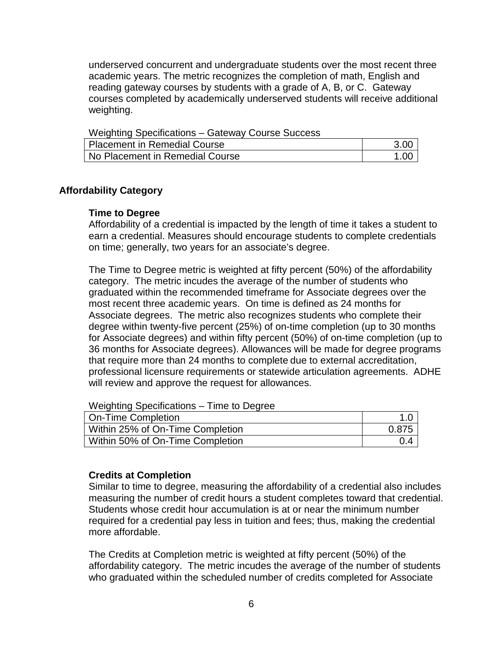underserved concurrent and undergraduate students over the most recent three academic years. The metric recognizes the completion of math, English and reading gateway courses by students with a grade of A, B, or C. Gateway courses completed by academically underserved students will receive additional weighting.

Weighting Specifications – Gateway Course Success Placement in Remedial Course 3.00 No Placement in Remedial Course 1.00

#### **Affordability Category**

#### **Time to Degree**

Affordability of a credential is impacted by the length of time it takes a student to earn a credential. Measures should encourage students to complete credentials on time; generally, two years for an associate's degree.

The Time to Degree metric is weighted at fifty percent (50%) of the affordability category. The metric incudes the average of the number of students who graduated within the recommended timeframe for Associate degrees over the most recent three academic years. On time is defined as 24 months for Associate degrees. The metric also recognizes students who complete their degree within twenty-five percent (25%) of on-time completion (up to 30 months for Associate degrees) and within fifty percent (50%) of on-time completion (up to 36 months for Associate degrees). Allowances will be made for degree programs that require more than 24 months to complete due to external accreditation, professional licensure requirements or statewide articulation agreements. ADHE will review and approve the request for allowances.

Weighting Specifications – Time to Degree

| On-Time Completion               |       |
|----------------------------------|-------|
| Within 25% of On-Time Completion | 0.875 |
| Within 50% of On-Time Completion |       |

#### **Credits at Completion**

Similar to time to degree, measuring the affordability of a credential also includes measuring the number of credit hours a student completes toward that credential. Students whose credit hour accumulation is at or near the minimum number required for a credential pay less in tuition and fees; thus, making the credential more affordable.

The Credits at Completion metric is weighted at fifty percent (50%) of the affordability category. The metric incudes the average of the number of students who graduated within the scheduled number of credits completed for Associate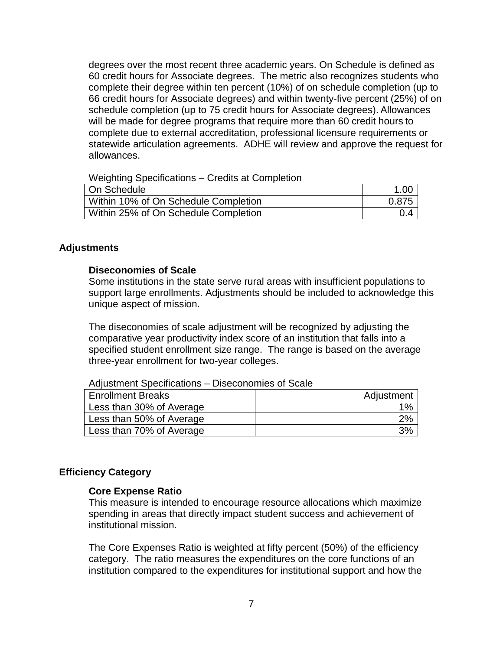degrees over the most recent three academic years. On Schedule is defined as 60 credit hours for Associate degrees. The metric also recognizes students who complete their degree within ten percent (10%) of on schedule completion (up to 66 credit hours for Associate degrees) and within twenty-five percent (25%) of on schedule completion (up to 75 credit hours for Associate degrees). Allowances will be made for degree programs that require more than 60 credit hours to complete due to external accreditation, professional licensure requirements or statewide articulation agreements. ADHE will review and approve the request for allowances.

Weighting Specifications – Credits at Completion

| On Schedule                          | 1.00  |
|--------------------------------------|-------|
| Within 10% of On Schedule Completion | 0.875 |
| Within 25% of On Schedule Completion | 0.4   |

### **Adjustments**

#### **Diseconomies of Scale**

Some institutions in the state serve rural areas with insufficient populations to support large enrollments. Adjustments should be included to acknowledge this unique aspect of mission.

The diseconomies of scale adjustment will be recognized by adjusting the comparative year productivity index score of an institution that falls into a specified student enrollment size range. The range is based on the average three-year enrollment for two-year colleges.

Adjustment Specifications – Diseconomies of Scale

| <b>Enrollment Breaks</b> | Adjustment |
|--------------------------|------------|
| Less than 30% of Average | $1\%$      |
| Less than 50% of Average | 2%         |
| Less than 70% of Average | 3%         |

## **Efficiency Category**

#### **Core Expense Ratio**

This measure is intended to encourage resource allocations which maximize spending in areas that directly impact student success and achievement of institutional mission.

The Core Expenses Ratio is weighted at fifty percent (50%) of the efficiency category. The ratio measures the expenditures on the core functions of an institution compared to the expenditures for institutional support and how the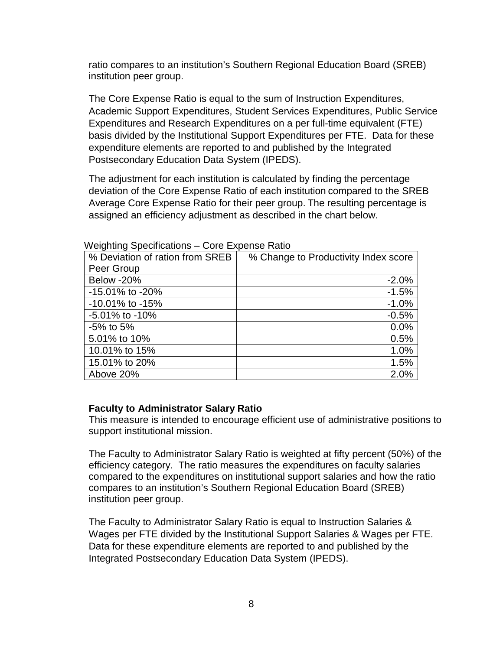ratio compares to an institution's Southern Regional Education Board (SREB) institution peer group.

The Core Expense Ratio is equal to the sum of Instruction Expenditures, Academic Support Expenditures, Student Services Expenditures, Public Service Expenditures and Research Expenditures on a per full-time equivalent (FTE) basis divided by the Institutional Support Expenditures per FTE. Data for these expenditure elements are reported to and published by the Integrated Postsecondary Education Data System (IPEDS).

The adjustment for each institution is calculated by finding the percentage deviation of the Core Expense Ratio of each institution compared to the SREB Average Core Expense Ratio for their peer group. The resulting percentage is assigned an efficiency adjustment as described in the chart below.

| % Deviation of ration from SREB | % Change to Productivity Index score |
|---------------------------------|--------------------------------------|
| Peer Group                      |                                      |
| Below -20%                      | $-2.0%$                              |
| -15.01% to -20%                 | $-1.5%$                              |
| $-10.01\%$ to $-15\%$           | $-1.0%$                              |
| -5.01% to -10%                  | $-0.5%$                              |
| $-5\%$ to $5\%$                 | 0.0%                                 |
| 5.01% to 10%                    | 0.5%                                 |
| 10.01% to 15%                   | 1.0%                                 |
| 15.01% to 20%                   | 1.5%                                 |
| Above 20%                       | 2.0%                                 |

Weighting Specifications – Core Expense Ratio

## **Faculty to Administrator Salary Ratio**

This measure is intended to encourage efficient use of administrative positions to support institutional mission.

The Faculty to Administrator Salary Ratio is weighted at fifty percent (50%) of the efficiency category. The ratio measures the expenditures on faculty salaries compared to the expenditures on institutional support salaries and how the ratio compares to an institution's Southern Regional Education Board (SREB) institution peer group.

The Faculty to Administrator Salary Ratio is equal to Instruction Salaries & Wages per FTE divided by the Institutional Support Salaries & Wages per FTE. Data for these expenditure elements are reported to and published by the Integrated Postsecondary Education Data System (IPEDS).